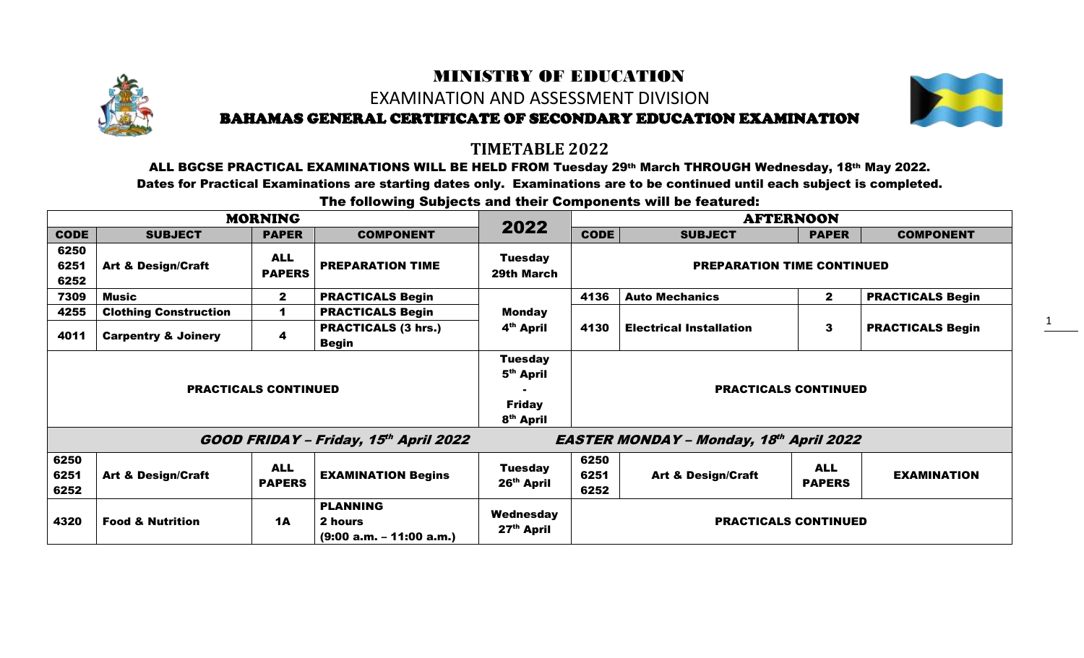## MINISTRY OF EDUCATION EXAMINATION AND ASSESSMENT DIVISION BAHAMAS GENERAL CERTIFICATE OF SECONDARY EDUCATION EXAMINATION



1

## **TIMETABLE 2022**

ALL BGCSE PRACTICAL EXAMINATIONS WILL BE HELD FROM Tuesday 29th March THROUGH Wednesday, 18th May 2022. Dates for Practical Examinations are starting dates only. Examinations are to be continued until each subject is completed.

The following Subjects and their Components will be featured:

|                             |                                | <b>MORNING</b>              |                                                                                   |                                          | <b>AFTERNOON</b>            |                                                |                             |                         |
|-----------------------------|--------------------------------|-----------------------------|-----------------------------------------------------------------------------------|------------------------------------------|-----------------------------|------------------------------------------------|-----------------------------|-------------------------|
| <b>CODE</b>                 | <b>SUBJECT</b>                 | <b>PAPER</b>                | <b>COMPONENT</b>                                                                  | 2022                                     | <b>CODE</b>                 | <b>SUBJECT</b>                                 | <b>PAPER</b>                | <b>COMPONENT</b>        |
| 6250<br>6251<br>6252        | <b>Art &amp; Design/Craft</b>  | <b>ALL</b><br><b>PAPERS</b> | <b>PREPARATION TIME</b>                                                           | <b>Tuesday</b><br>29th March             |                             | <b>PREPARATION TIME CONTINUED</b>              |                             |                         |
| 7309                        | <b>Music</b>                   | $\mathbf{2}$                | <b>PRACTICALS Begin</b>                                                           |                                          | 4136                        | <b>Auto Mechanics</b>                          | $\mathbf{2}$                | <b>PRACTICALS Begin</b> |
| 4255                        | <b>Clothing Construction</b>   | 1                           | <b>PRACTICALS Begin</b>                                                           | <b>Monday</b>                            |                             |                                                |                             |                         |
| 4011                        | <b>Carpentry &amp; Joinery</b> | 4                           | <b>PRACTICALS (3 hrs.)</b><br><b>Begin</b>                                        | 4 <sup>th</sup> April                    | 4130                        | <b>Electrical Installation</b>                 | 3                           | <b>PRACTICALS Begin</b> |
| <b>PRACTICALS CONTINUED</b> |                                |                             | <b>Tuesday</b><br>5 <sup>th</sup> April<br><b>Friday</b><br>8 <sup>th</sup> April |                                          | <b>PRACTICALS CONTINUED</b> |                                                |                             |                         |
|                             |                                |                             | GOOD FRIDAY - Friday, 15th April 2022                                             |                                          |                             | <b>EASTER MONDAY - Monday, 18th April 2022</b> |                             |                         |
| 6250<br>6251<br>6252        | <b>Art &amp; Design/Craft</b>  | <b>ALL</b><br><b>PAPERS</b> | <b>EXAMINATION Begins</b>                                                         | <b>Tuesday</b><br>26 <sup>th</sup> April | 6250<br>6251<br>6252        | <b>Art &amp; Design/Craft</b>                  | <b>ALL</b><br><b>PAPERS</b> | <b>EXAMINATION</b>      |
| 4320                        | <b>Food &amp; Nutrition</b>    | <b>1A</b>                   | <b>PLANNING</b><br>2 hours<br>$(9:00 a.m. - 11:00 a.m.)$                          | Wednesday<br>27 <sup>th</sup> April      | <b>PRACTICALS CONTINUED</b> |                                                |                             |                         |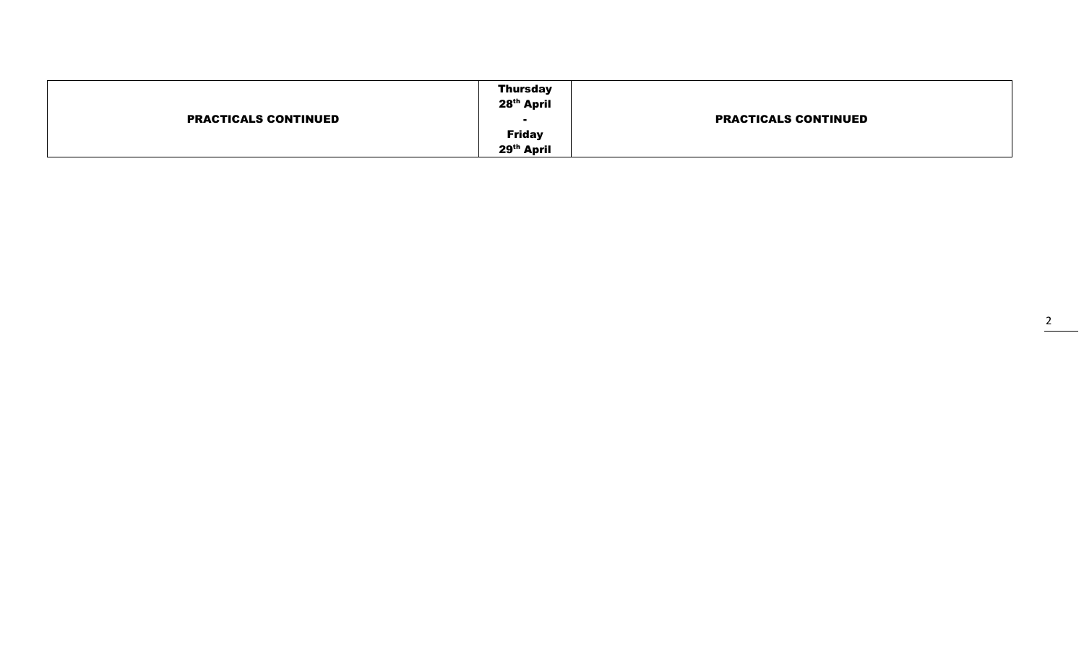| <b>Friday</b><br>29 <sup>th</sup> April |
|-----------------------------------------|
|-----------------------------------------|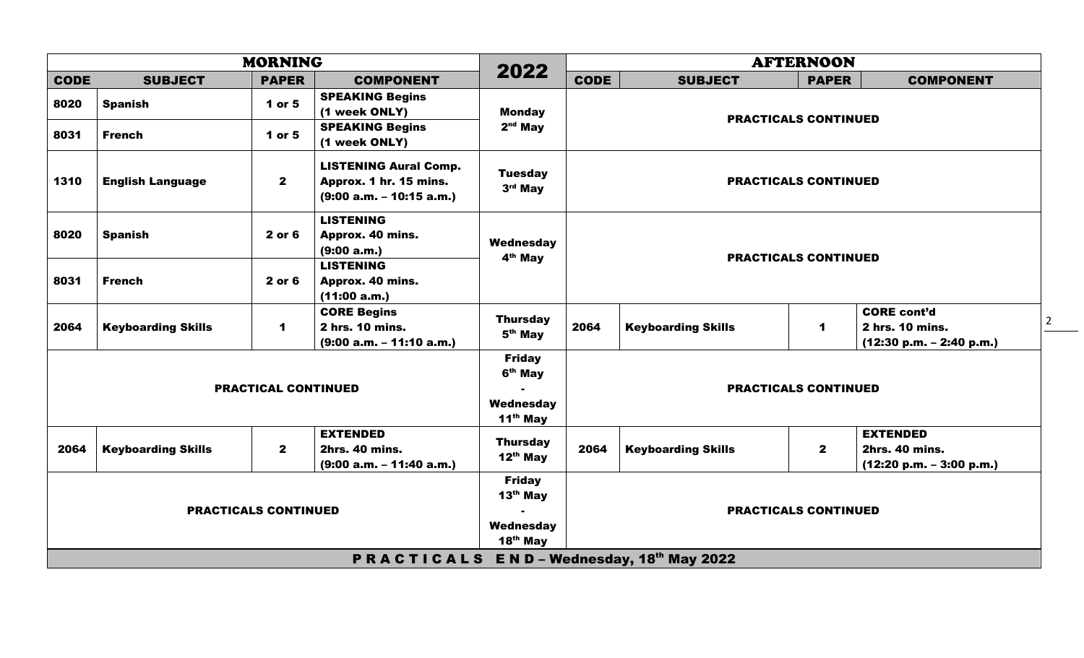|                             | <b>MORNING</b>                                           |              |                                                                                      |                                                                           |             | <b>AFTERNOON</b>            |                             |                                                                        |                |  |  |
|-----------------------------|----------------------------------------------------------|--------------|--------------------------------------------------------------------------------------|---------------------------------------------------------------------------|-------------|-----------------------------|-----------------------------|------------------------------------------------------------------------|----------------|--|--|
| <b>CODE</b>                 | <b>SUBJECT</b>                                           | <b>PAPER</b> | <b>COMPONENT</b>                                                                     | 2022                                                                      | <b>CODE</b> | <b>SUBJECT</b>              | <b>PAPER</b>                | <b>COMPONENT</b>                                                       |                |  |  |
| 8020                        | <b>Spanish</b>                                           | 1 or 5       | <b>SPEAKING Begins</b><br>(1 week ONLY)                                              | <b>Monday</b>                                                             |             |                             | <b>PRACTICALS CONTINUED</b> |                                                                        |                |  |  |
| 8031                        | <b>French</b>                                            | 1 or 5       | <b>SPEAKING Begins</b><br>(1 week ONLY)                                              | $2nd$ May                                                                 |             |                             |                             |                                                                        |                |  |  |
| 1310                        | <b>English Language</b>                                  | $\mathbf{2}$ | <b>LISTENING Aural Comp.</b><br>Approx. 1 hr. 15 mins.<br>$(9:00 a.m. - 10:15 a.m.)$ | <b>Tuesday</b><br>3rd May                                                 |             | <b>PRACTICALS CONTINUED</b> |                             |                                                                        |                |  |  |
| 8020                        | <b>Spanish</b>                                           | 2 or 6       | <b>LISTENING</b><br>Approx. 40 mins.<br>(9:00 a.m.)                                  | Wednesday<br>4 <sup>th</sup> May                                          |             | <b>PRACTICALS CONTINUED</b> |                             |                                                                        |                |  |  |
| 8031                        | <b>French</b>                                            | 2 or 6       | <b>LISTENING</b><br>Approx. 40 mins.<br>(11:00 a.m.)                                 |                                                                           |             |                             |                             |                                                                        |                |  |  |
| 2064                        | <b>Keyboarding Skills</b>                                | 1            | <b>CORE Begins</b><br>2 hrs. 10 mins.<br>$(9:00 a.m. - 11:10 a.m.)$                  | <b>Thursday</b><br>5 <sup>th</sup> May                                    | 2064        | <b>Keyboarding Skills</b>   | $\blacktriangleleft$        | <b>CORE cont'd</b><br>2 hrs. 10 mins.<br>$(12:30 p.m. - 2:40 p.m.)$    | $\overline{2}$ |  |  |
| <b>PRACTICAL CONTINUED</b>  |                                                          |              |                                                                                      | <b>Friday</b><br>6 <sup>th</sup> May<br>Wednesday<br>11 <sup>th</sup> May |             | <b>PRACTICALS CONTINUED</b> |                             |                                                                        |                |  |  |
| 2064                        | <b>Keyboarding Skills</b>                                | $\mathbf{2}$ | <b>EXTENDED</b><br>2hrs. 40 mins.<br>$(9:00 a.m. - 11:40 a.m.)$                      | <b>Thursday</b><br>$12^{th}$ May                                          | 2064        | <b>Keyboarding Skills</b>   | $\mathbf{2}$                | <b>EXTENDED</b><br><b>2hrs. 40 mins.</b><br>$(12:20 p.m. - 3:00 p.m.)$ |                |  |  |
| <b>PRACTICALS CONTINUED</b> |                                                          |              |                                                                                      | <b>Friday</b><br>$13th$ May<br>Wednesday<br>$18th$ May                    |             | <b>PRACTICALS CONTINUED</b> |                             |                                                                        |                |  |  |
|                             | $E N D - Wednesday$ , 18th May 2022<br><b>PRACTICALS</b> |              |                                                                                      |                                                                           |             |                             |                             |                                                                        |                |  |  |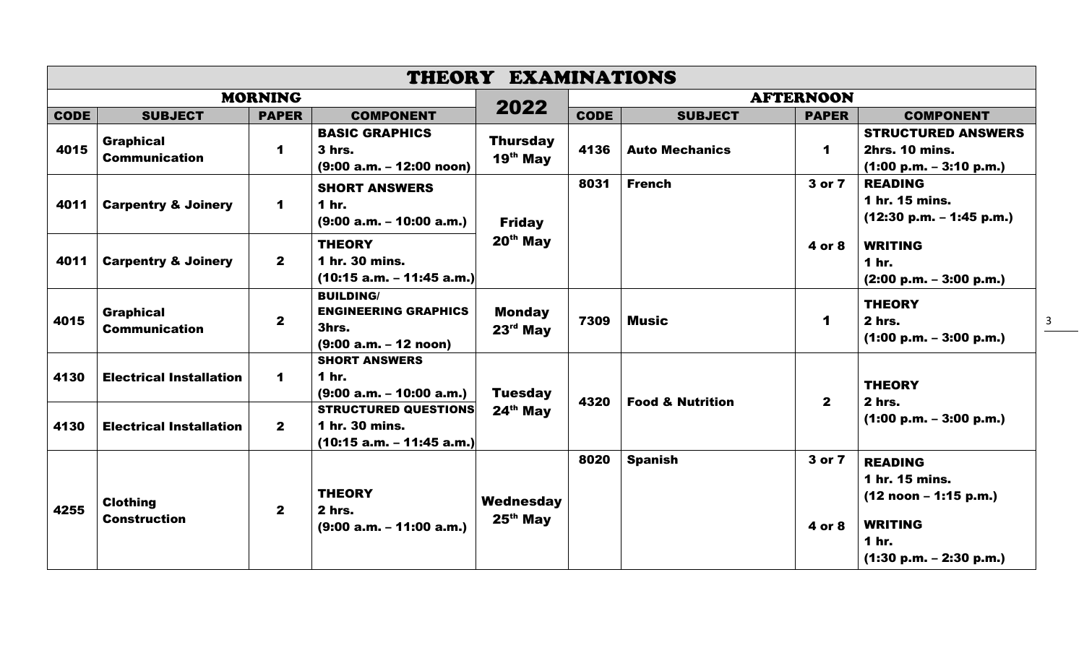| THEORY EXAMINATIONS |                                          |                      |                                                                                     |                               |             |                       |                             |                                                                                                                                     |                         |
|---------------------|------------------------------------------|----------------------|-------------------------------------------------------------------------------------|-------------------------------|-------------|-----------------------|-----------------------------|-------------------------------------------------------------------------------------------------------------------------------------|-------------------------|
|                     |                                          | <b>MORNING</b>       |                                                                                     |                               |             |                       | <b>AFTERNOON</b>            |                                                                                                                                     |                         |
| <b>CODE</b>         | <b>SUBJECT</b>                           | <b>PAPER</b>         | <b>COMPONENT</b>                                                                    | 2022                          | <b>CODE</b> | <b>SUBJECT</b>        | <b>PAPER</b>                | <b>COMPONENT</b>                                                                                                                    |                         |
| 4015                | <b>Graphical</b><br><b>Communication</b> | 1                    | <b>BASIC GRAPHICS</b><br>3 hrs.<br>$(9:00 a.m. - 12:00 noon)$                       | <b>Thursday</b><br>$19th$ May | 4136        | <b>Auto Mechanics</b> | $\blacktriangleleft$        | <b>STRUCTURED ANSWERS</b><br><b>2hrs. 10 mins.</b><br>$(1:00 p.m. - 3:10 p.m.)$                                                     |                         |
| 4011                | <b>Carpentry &amp; Joinery</b>           | $\blacktriangleleft$ | <b>SHORT ANSWERS</b><br><b>1 hr.</b><br>$(9:00 a.m. - 10:00 a.m.)$                  | <b>Friday</b>                 | 8031        | <b>French</b>         | 3 or 7                      | <b>READING</b><br>1 hr. 15 mins.<br>$(12:30 p.m. - 1:45 p.m.)$                                                                      |                         |
| 4011                | <b>Carpentry &amp; Joinery</b>           | $\mathbf{2}$         | <b>THEORY</b><br>1 hr. 30 mins.<br>$(10:15 a.m. - 11:45 a.m.)$                      | $20th$ May                    |             |                       | 4 or 8                      | <b>WRITING</b><br>1 hr.<br>$(2:00 p.m. - 3:00 p.m.)$                                                                                |                         |
| 4015                | <b>Graphical</b><br><b>Communication</b> | $\mathbf{2}$         | <b>BUILDING/</b><br><b>ENGINEERING GRAPHICS</b><br>3hrs.<br>$(9:00 a.m. - 12 noon)$ | <b>Monday</b><br>$23rd$ May   | 7309        | <b>Music</b>          | $\blacktriangleleft$        | <b>THEORY</b><br>2 hrs.<br>$(1:00 p.m. - 3:00 p.m.)$                                                                                |                         |
| 4130                | <b>Electrical Installation</b>           | $\blacktriangleleft$ | <b>SHORT ANSWERS</b><br>1 hr.<br>$(9:00 a.m. - 10:00 a.m.)$                         | <b>Tuesday</b><br>$24th$ May  |             | 4320                  | <b>Food &amp; Nutrition</b> | $\mathbf{2}$                                                                                                                        | <b>THEORY</b><br>2 hrs. |
| 4130                | <b>Electrical Installation</b>           | $\mathbf{2}$         | <b>STRUCTURED QUESTIONS</b><br>1 hr. 30 mins.<br>(10:15 a.m. - 11:45 a.m.)          |                               |             |                       |                             | $(1:00 p.m. - 3:00 p.m.)$                                                                                                           |                         |
| 4255                | <b>Clothing</b><br><b>Construction</b>   | $\mathbf{2}$         | <b>THEORY</b><br>2 hrs.<br>$(9:00 a.m. - 11:00 a.m.)$                               | Wednesday<br>$25th$ May       | 8020        | <b>Spanish</b>        | 3 or 7<br>4 or 8            | <b>READING</b><br>1 hr. 15 mins.<br>$(12 \text{ noon} - 1:15 \text{ p.m.})$<br><b>WRITING</b><br>1 hr.<br>$(1:30 p.m. - 2:30 p.m.)$ |                         |

3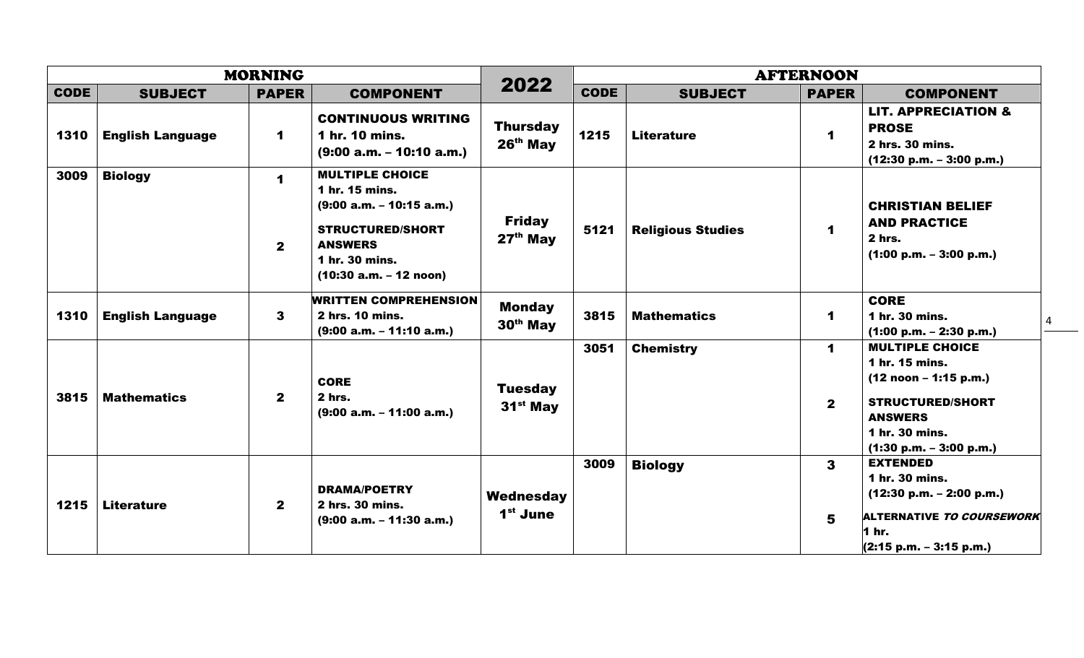| <b>MORNING</b> |                         |                             |                                                                                                                                                                   |                                       | <b>AFTERNOON</b> |                          |                              |                                                                                                                                                                 |  |
|----------------|-------------------------|-----------------------------|-------------------------------------------------------------------------------------------------------------------------------------------------------------------|---------------------------------------|------------------|--------------------------|------------------------------|-----------------------------------------------------------------------------------------------------------------------------------------------------------------|--|
| <b>CODE</b>    | <b>SUBJECT</b>          | <b>PAPER</b>                | <b>COMPONENT</b>                                                                                                                                                  | 2022                                  | <b>CODE</b>      | <b>SUBJECT</b>           | <b>PAPER</b>                 | <b>COMPONENT</b>                                                                                                                                                |  |
| 1310           | <b>English Language</b> | $\mathbf 1$                 | <b>CONTINUOUS WRITING</b><br>1 hr. 10 mins.<br>$(9:00 a.m. - 10:10 a.m.)$                                                                                         | <b>Thursday</b><br>$26th$ May         | 1215             | <b>Literature</b>        | $\mathbf 1$                  | <b>LIT. APPRECIATION &amp;</b><br><b>PROSE</b><br>2 hrs. 30 mins.<br>$(12:30 p.m. - 3:00 p.m.)$                                                                 |  |
| 3009           | <b>Biology</b>          | $\mathbf 1$<br>$\mathbf{2}$ | <b>MULTIPLE CHOICE</b><br>1 hr. 15 mins.<br>$(9:00 a.m. - 10:15 a.m.)$<br><b>STRUCTURED/SHORT</b><br><b>ANSWERS</b><br>1 hr. 30 mins.<br>$(10:30 a.m. - 12 noon)$ | <b>Friday</b><br>$27th$ May           | 5121             | <b>Religious Studies</b> | 1                            | <b>CHRISTIAN BELIEF</b><br><b>AND PRACTICE</b><br>2 hrs.<br>$(1:00 p.m. - 3:00 p.m.)$                                                                           |  |
| 1310           | <b>English Language</b> | 3                           | <b>WRITTEN COMPREHENSION</b><br>2 hrs. 10 mins.<br>$(9:00 a.m. - 11:10 a.m.)$                                                                                     | <b>Monday</b><br>30 <sup>th</sup> May | 3815             | <b>Mathematics</b>       | 1                            | <b>CORE</b><br>1 hr. 30 mins.<br>$(1:00 p.m. - 2:30 p.m.)$                                                                                                      |  |
| 3815           | <b>Mathematics</b>      | $\mathbf{2}$                | <b>CORE</b><br>2 hrs.<br>$(9:00 a.m. - 11:00 a.m.)$                                                                                                               | <b>Tuesday</b><br>$31st$ May          | 3051             | <b>Chemistry</b>         | $\mathbf 1$<br>$\mathbf{2}$  | <b>MULTIPLE CHOICE</b><br>1 hr. 15 mins.<br>$(12 noon - 1:15 p.m.)$<br><b>STRUCTURED/SHORT</b><br><b>ANSWERS</b><br>1 hr. 30 mins.<br>$(1:30 p.m. - 3:00 p.m.)$ |  |
| 1215           | <b>Literature</b>       | $\mathbf{2}$                | <b>DRAMA/POETRY</b><br>2 hrs. 30 mins.<br>$(9:00 a.m. - 11:30 a.m.)$                                                                                              | Wednesday<br>1 <sup>st</sup> June     | 3009             | <b>Biology</b>           | $\overline{\mathbf{3}}$<br>5 | <b>EXTENDED</b><br>1 hr. 30 mins.<br>$(12:30 p.m. - 2:00 p.m.)$<br>ALTERNATIVE TO COURSEWORK<br>1 hr.<br>$(2:15 p.m. - 3:15 p.m.)$                              |  |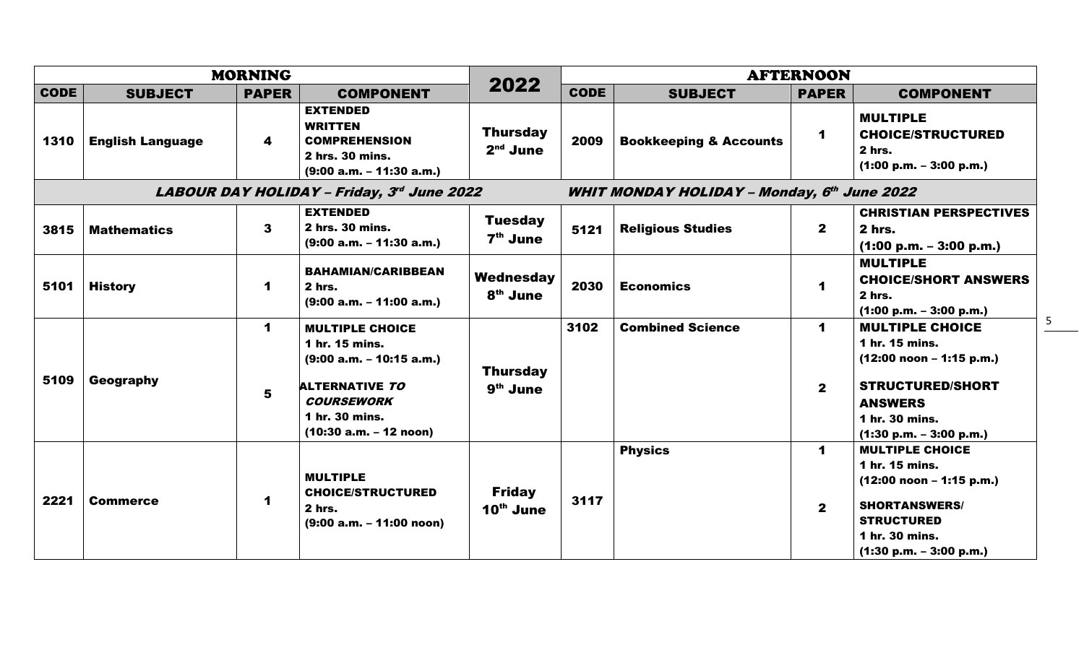|                                            |                         | <b>MORNING</b>          |                                                                                                                                                                    |                                         | <b>AFTERNOON</b>                                   |                                   |                                      |                                                                                                                                                                    |  |
|--------------------------------------------|-------------------------|-------------------------|--------------------------------------------------------------------------------------------------------------------------------------------------------------------|-----------------------------------------|----------------------------------------------------|-----------------------------------|--------------------------------------|--------------------------------------------------------------------------------------------------------------------------------------------------------------------|--|
| <b>CODE</b>                                | <b>SUBJECT</b>          | <b>PAPER</b>            | <b>COMPONENT</b>                                                                                                                                                   | 2022                                    | <b>CODE</b>                                        | <b>SUBJECT</b>                    | <b>PAPER</b>                         | <b>COMPONENT</b>                                                                                                                                                   |  |
| 1310                                       | <b>English Language</b> | $\overline{\mathbf{4}}$ | <b>EXTENDED</b><br><b>WRITTEN</b><br><b>COMPREHENSION</b><br>2 hrs. 30 mins.<br>$(9:00 a.m. - 11:30 a.m.)$                                                         | <b>Thursday</b><br>$2nd$ June           | 2009                                               | <b>Bookkeeping &amp; Accounts</b> | $\blacktriangleleft$                 | <b>MULTIPLE</b><br><b>CHOICE/STRUCTURED</b><br>2 hrs.<br>$(1:00 p.m. - 3:00 p.m.)$                                                                                 |  |
| LABOUR DAY HOLIDAY - Friday, 3rd June 2022 |                         |                         |                                                                                                                                                                    |                                         | <b>WHIT MONDAY HOLIDAY - Monday, 6th June 2022</b> |                                   |                                      |                                                                                                                                                                    |  |
| 3815                                       | <b>Mathematics</b>      | $\mathbf{3}$            | <b>EXTENDED</b><br>2 hrs. 30 mins.<br>$(9:00 a.m. - 11:30 a.m.)$                                                                                                   | <b>Tuesday</b><br>7 <sup>th</sup> June  | 5121                                               | <b>Religious Studies</b>          | $\mathbf{2}$                         | <b>CHRISTIAN PERSPECTIVES</b><br>2 hrs.<br>$(1:00 p.m. - 3:00 p.m.)$                                                                                               |  |
| 5101                                       | <b>History</b>          | $\mathbf 1$             | <b>BAHAMIAN/CARIBBEAN</b><br>$2hrs$ .<br>$(9:00 a.m. - 11:00 a.m.)$                                                                                                | Wednesday<br>8 <sup>th</sup> June       | 2030                                               | <b>Economics</b>                  | $\blacktriangleleft$                 | <b>MULTIPLE</b><br><b>CHOICE/SHORT ANSWERS</b><br>2 hrs.<br>$(1:00 p.m. - 3:00 p.m.)$                                                                              |  |
| 5109                                       | Geography               | $\mathbf 1$<br>5        | <b>MULTIPLE CHOICE</b><br>1 hr. 15 mins.<br>$(9:00 a.m. - 10:15 a.m.)$<br><b>ALTERNATIVE TO</b><br><b>COURSEWORK</b><br>1 hr. 30 mins.<br>$(10:30 a.m. - 12 noon)$ | <b>Thursday</b><br>9 <sup>th</sup> June | 3102                                               | <b>Combined Science</b>           | $\mathbf 1$<br>$\mathbf{2}$          | <b>MULTIPLE CHOICE</b><br>1 hr. 15 mins.<br>$(12:00$ noon - 1:15 p.m.)<br><b>STRUCTURED/SHORT</b><br><b>ANSWERS</b><br>1 hr. 30 mins.<br>$(1:30 p.m. - 3:00 p.m.)$ |  |
| 2221                                       | <b>Commerce</b>         | $\mathbf 1$             | <b>MULTIPLE</b><br><b>CHOICE/STRUCTURED</b><br>2 hrs.<br>$(9:00 a.m. - 11:00 noon)$                                                                                | <b>Friday</b><br>$10th$ June            | 3117                                               | <b>Physics</b>                    | $\blacktriangleleft$<br>$\mathbf{2}$ | <b>MULTIPLE CHOICE</b><br>1 hr. 15 mins.<br>$(12:00$ noon – 1:15 p.m.)<br><b>SHORTANSWERS/</b><br><b>STRUCTURED</b><br>1 hr. 30 mins.<br>$(1:30 p.m. - 3:00 p.m.)$ |  |

5